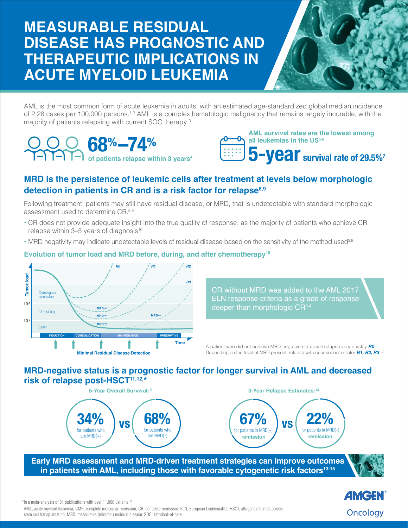# **MEASURABLE RESIDUAL DISEASE HAS PROGNOSTIC AND THERAPEUTIC IMPLICATIONS IN ACUTE MYELOID LEUKEMIA**



AML is the most common form of acute leukemia in adults, with an estimated age-standardized global median incidence of 2.28 cases per 100,000 persons.<sup>1,2</sup> AML is a complex hematologic malignancy that remains largely incurable, with the majority of patients relapsing with current SOC therapy.3

**of patients relapse within 3 years4** 68%–74%



# **MRD is the persistence of leukemic cells after treatment at levels below morphologic detection in patients in CR and is a risk factor for relapse8,9**

Following treatment, patients may still have residual disease, or MRD, that is undetectable with standard morphologic assessment used to determine CR.8,9

- CR does not provide adequate insight into the true quality of response, as the majority of patients who achieve CR relapse within  $3-5$  years of diagnosis<sup>10</sup>
- MRD negativity may indicate undetectable levels of residual disease based on the sensitivity of the method used<sup>3,8</sup>

#### **Evolution of tumor load and MRD before, during, and after chemotherapy10**



CR without MRD was added to the AML 2017 ELN response criteria as a grade of response deeper than morphologic CR<sup>3,4</sup>

A patient who did not achieve MRD-negative status will relapse very quickly *R0*. Depending on the level of MRD present, relapse will occur sooner or later *R1, R2, R3*.<sup>10</sup>

### **MRD-negative status is a prognostic factor for longer survival in AML and decreased risk of relapse post-HSCT11,12,\***



**Early MRD assessment and MRD-driven treatment strategies can improve outcomes**  in patients with AML, including those with favorable cytogenetic risk factors<sup>13-15</sup>



*AMGEN* Oncology

\*In a meta-analysis of 81 publications with over 11,000 patients.11

AML, acute myeloid leukemia; CMR, complete molecular remission; CR, complete remission; ELN, European LeukemiaNet; HSCT, allogeneic hematopoietic stem cell transplantation; MRD, measurable (minimal) residual disease; SOC, standard-of-care.